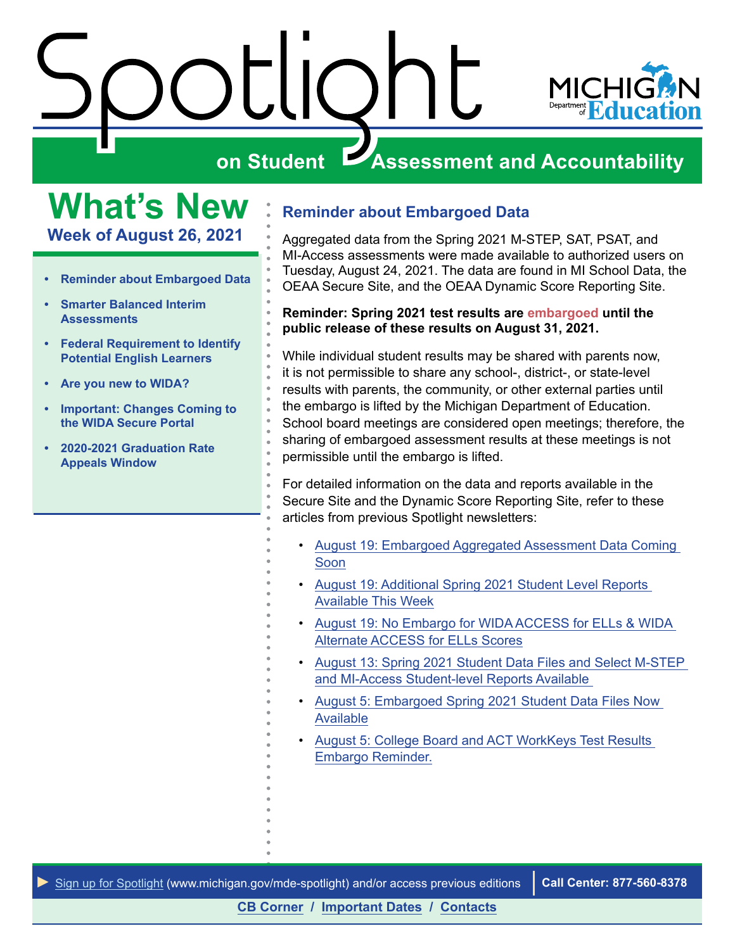<span id="page-0-0"></span>



### **What's New Week of August 26, 2021**

- **• Reminder about Embargoed Data**
- **• [Smarter Balanced Interim](#page-1-0)  [Assessments](#page-1-0)**
- **• [Federal Requirement to Identify](#page-1-0)  [Potential English Learners](#page-1-0)**
- **• [Are you new to WIDA?](#page-1-0)**
- **• [Important: Changes Coming to](#page-2-0)  [the WIDA Secure Portal](#page-2-0)**
- **• [2020-2021 Graduation Rate](#page-2-0)  [Appeals Window](#page-2-0)**

### **Reminder about Embargoed Data**

Aggregated data from the Spring 2021 M-STEP, SAT, PSAT, and MI-Access assessments were made available to authorized users on Tuesday, August 24, 2021. The data are found in MI School Data, the OEAA Secure Site, and the OEAA Dynamic Score Reporting Site.

### **Reminder: Spring 2021 test results are embargoed until the public release of these results on August 31, 2021.**

While individual student results may be shared with parents now, it is not permissible to share any school-, district-, or state-level results with parents, the community, or other external parties until the embargo is lifted by the Michigan Department of Education. School board meetings are considered open meetings; therefore, the sharing of embargoed assessment results at these meetings is not permissible until the embargo is lifted.

For detailed information on the data and reports available in the Secure Site and the Dynamic Score Reporting Site, refer to these articles from previous Spotlight newsletters:

- [August 19: Embargoed Aggregated Assessment Data Coming](https://www.michigan.gov/documents/mde/Spotlight_8-19-21_733288_7.pdf)  [Soon](https://www.michigan.gov/documents/mde/Spotlight_8-19-21_733288_7.pdf)
- [August 19: Additional Spring 2021 Student Level Reports](https://www.michigan.gov/documents/mde/Spotlight_8-19-21_733288_7.pdf)  [Available This Week](https://www.michigan.gov/documents/mde/Spotlight_8-19-21_733288_7.pdf)
- [August 19: No Embargo for WIDA ACCESS for ELLs & WIDA](https://www.michigan.gov/documents/mde/Spotlight_8-19-21_733288_7.pdf)  [Alternate ACCESS for ELLs Scores](https://www.michigan.gov/documents/mde/Spotlight_8-19-21_733288_7.pdf)
- [August 13: Spring 2021 Student Data Files and Select M-STEP](https://www.michigan.gov/documents/mde/Spotlight_8-12-21_732648_7.pdf)  [and MI-Access Student-level Reports Available](https://www.michigan.gov/documents/mde/Spotlight_8-12-21_732648_7.pdf)
- [August 5: Embargoed Spring 2021 Student Data Files Now](https://www.michigan.gov/documents/mde/Spotlight_8-5-21_732029_7.pdf)  [Available](https://www.michigan.gov/documents/mde/Spotlight_8-5-21_732029_7.pdf)
- [August 5: College Board and ACT WorkKeys Test Results](https://www.michigan.gov/documents/mde/Spotlight_8-5-21_732029_7.pdf)  [Embargo Reminder.](https://www.michigan.gov/documents/mde/Spotlight_8-5-21_732029_7.pdf)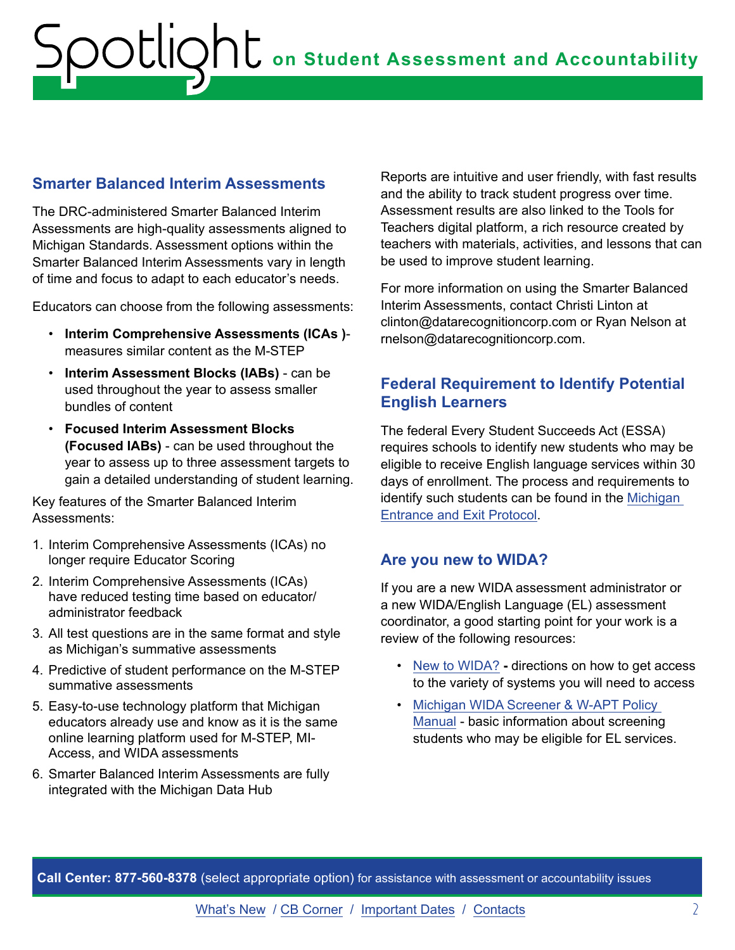### <span id="page-1-0"></span>**Smarter Balanced Interim Assessments**

The DRC-administered Smarter Balanced Interim Assessments are high-quality assessments aligned to Michigan Standards. Assessment options within the Smarter Balanced Interim Assessments vary in length of time and focus to adapt to each educator's needs.

Educators can choose from the following assessments:

- **Interim Comprehensive Assessments (ICAs )** measures similar content as the M-STEP
- **Interim Assessment Blocks (IABs)**  can be used throughout the year to assess smaller bundles of content
- **Focused Interim Assessment Blocks (Focused IABs)** - can be used throughout the year to assess up to three assessment targets to gain a detailed understanding of student learning.

Key features of the Smarter Balanced Interim Assessments:

- 1. Interim Comprehensive Assessments (ICAs) no longer require Educator Scoring
- 2. Interim Comprehensive Assessments (ICAs) have reduced testing time based on educator/ administrator feedback
- 3. All test questions are in the same format and style as Michigan's summative assessments
- 4. Predictive of student performance on the M-STEP summative assessments
- 5. Easy-to-use technology platform that Michigan educators already use and know as it is the same online learning platform used for M-STEP, MI-Access, and WIDA assessments
- 6. Smarter Balanced Interim Assessments are fully integrated with the Michigan Data Hub

Reports are intuitive and user friendly, with fast results and the ability to track student progress over time. Assessment results are also linked to the Tools for Teachers digital platform, a rich resource created by teachers with materials, activities, and lessons that can be used to improve student learning.

For more information on using the Smarter Balanced Interim Assessments, contact Christi Linton at clinton@datarecognitioncorp.com or Ryan Nelson at rnelson@datarecognitioncorp.com.

### **Federal Requirement to Identify Potential English Learners**

The federal Every Student Succeeds Act (ESSA) requires schools to identify new students who may be eligible to receive English language services within 30 days of enrollment. The process and requirements to identify such students can be found in the [Michigan](https://www.michigan.gov/documents/mde/EL_Entrance_and_Exit_Protocol_733722_7.pdf)  [Entrance and Exit Protocol](https://www.michigan.gov/documents/mde/EL_Entrance_and_Exit_Protocol_733722_7.pdf).

### **Are you new to WIDA?**

If you are a new WIDA assessment administrator or a new WIDA/English Language (EL) assessment coordinator, a good starting point for your work is a review of the following resources:

- [New to WIDA?](https://www.michigan.gov/documents/mde/New_to_WIDA-2_717412_7.pdf)directions on how to get access to the variety of systems you will need to access
- [Michigan WIDA Screener & W-APT Policy](https://www.michigan.gov/documents/mde/New_to_WIDA-2_717412_7.pdf)  [Manual](https://www.michigan.gov/documents/mde/New_to_WIDA-2_717412_7.pdf) - basic information about screening students who may be eligible for EL services.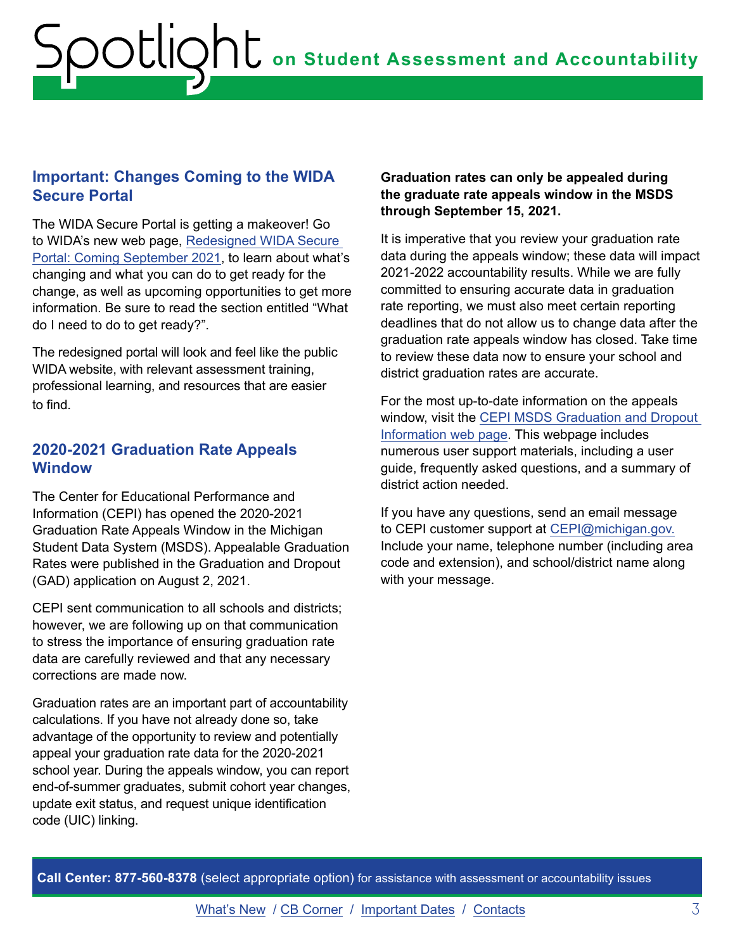### <span id="page-2-0"></span>**Important: Changes Coming to the WIDA Secure Portal**

The WIDA Secure Portal is getting a makeover! Go to WIDA's new web page, [Redesigned WIDA Secure](https://wida.wisc.edu/about/news/redesigned-wida-secure-portal-coming-september-2021?utm_source=CR-MM071221&utm_medium=email&utm_campaign=MondayMail&utm_content=RedesignedPortalArticle)  [Portal: Coming September 2021](https://wida.wisc.edu/about/news/redesigned-wida-secure-portal-coming-september-2021?utm_source=CR-MM071221&utm_medium=email&utm_campaign=MondayMail&utm_content=RedesignedPortalArticle), to learn about what's changing and what you can do to get ready for the change, as well as upcoming opportunities to get more information. Be sure to read the section entitled "What do I need to do to get ready?".

The redesigned portal will look and feel like the public WIDA website, with relevant assessment training, professional learning, and resources that are easier to find.

### **2020-2021 Graduation Rate Appeals Window**

The Center for Educational Performance and Information (CEPI) has opened the 2020-2021 Graduation Rate Appeals Window in the Michigan Student Data System (MSDS). Appealable Graduation Rates were published in the Graduation and Dropout (GAD) application on August 2, 2021.

CEPI sent communication to all schools and districts; however, we are following up on that communication to stress the importance of ensuring graduation rate data are carefully reviewed and that any necessary corrections are made now.

Graduation rates are an important part of accountability calculations. If you have not already done so, take advantage of the opportunity to review and potentially appeal your graduation rate data for the 2020-2021 school year. During the appeals window, you can report end-of-summer graduates, submit cohort year changes, update exit status, and request unique identification code (UIC) linking.

### **Graduation rates can only be appealed during the graduate rate appeals window in the MSDS through September 15, 2021.**

It is imperative that you review your graduation rate data during the appeals window; these data will impact 2021-2022 accountability results. While we are fully committed to ensuring accurate data in graduation rate reporting, we must also meet certain reporting deadlines that do not allow us to change data after the graduation rate appeals window has closed. Take time to review these data now to ensure your school and district graduation rates are accurate.

For the most up-to-date information on the appeals window, visit the [CEPI MSDS Graduation and Dropout](http://www.michigan.gov/cepi/0,1607,7-113-986_50502_56418---,00.html)  [Information web page](http://www.michigan.gov/cepi/0,1607,7-113-986_50502_56418---,00.html). This webpage includes numerous user support materials, including a user guide, frequently asked questions, and a summary of district action needed.

If you have any questions, send an email message to CEPI customer support at [CEPI@michigan.gov.](mailto:CEPI%40michigan.gov?subject=) Include your name, telephone number (including area code and extension), and school/district name along with your message.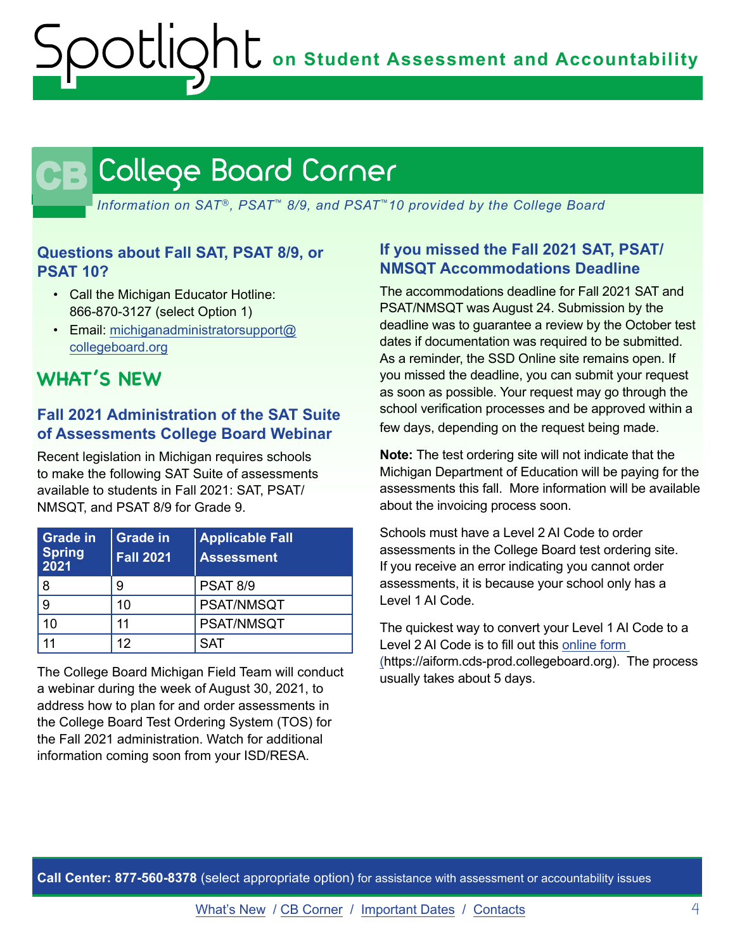## <span id="page-3-0"></span>CB

*Information on SAT*®*, PSAT*™ *8/9, and PSAT*™*10 provided by the College Board*

### **Questions about Fall SAT, PSAT 8/9, or PSAT 10?**

- Call the Michigan Educator Hotline: 866-870-3127 (select Option 1)
- Email: [michiganadministratorsupport@](mailto:michiganadministratorsupport%40collegeboard.org?subject=) [collegeboard.org](mailto:michiganadministratorsupport%40collegeboard.org?subject=)

### **WHAT'S NEW**

### **Fall 2021 Administration of the SAT Suite of Assessments College Board Webinar**

Recent legislation in Michigan requires schools to make the following SAT Suite of assessments available to students in Fall 2021: SAT, PSAT/ NMSQT, and PSAT 8/9 for Grade 9.

| <b>Grade in</b><br><b>Spring</b><br>2021 | <b>Grade in</b><br><b>Fall 2021</b> | <b>Applicable Fall</b><br><b>Assessment</b> |
|------------------------------------------|-------------------------------------|---------------------------------------------|
| 8                                        | 9                                   | <b>PSAT 8/9</b>                             |
| 9                                        | 10                                  | <b>PSAT/NMSQT</b>                           |
| 10                                       | 11                                  | PSAT/NMSQT                                  |
|                                          | 12                                  | <b>SAT</b>                                  |

The College Board Michigan Field Team will conduct a webinar during the week of August 30, 2021, to address how to plan for and order assessments in the College Board Test Ordering System (TOS) for the Fall 2021 administration. Watch for additional information coming soon from your ISD/RESA.

### **If you missed the Fall 2021 SAT, PSAT/ NMSQT Accommodations Deadline**

The accommodations deadline for Fall 2021 SAT and PSAT/NMSQT was August 24. Submission by the deadline was to guarantee a review by the October test dates if documentation was required to be submitted. As a reminder, the SSD Online site remains open. If you missed the deadline, you can submit your request as soon as possible. Your request may go through the school verification processes and be approved within a few days, depending on the request being made.

**Note:** The test ordering site will not indicate that the Michigan Department of Education will be paying for the assessments this fall. More information will be available about the invoicing process soon.

Schools must have a Level 2 AI Code to order assessments in the College Board test ordering site. If you receive an error indicating you cannot order assessments, it is because your school only has a Level 1 AI Code.

The quickest way to convert your Level 1 AI Code to a Level 2 AI Code is to fill out this [online form](https://aiform.cds-prod.collegeboard.org) (https://aiform.cds-prod.collegeboard.org). The process usually takes about 5 days.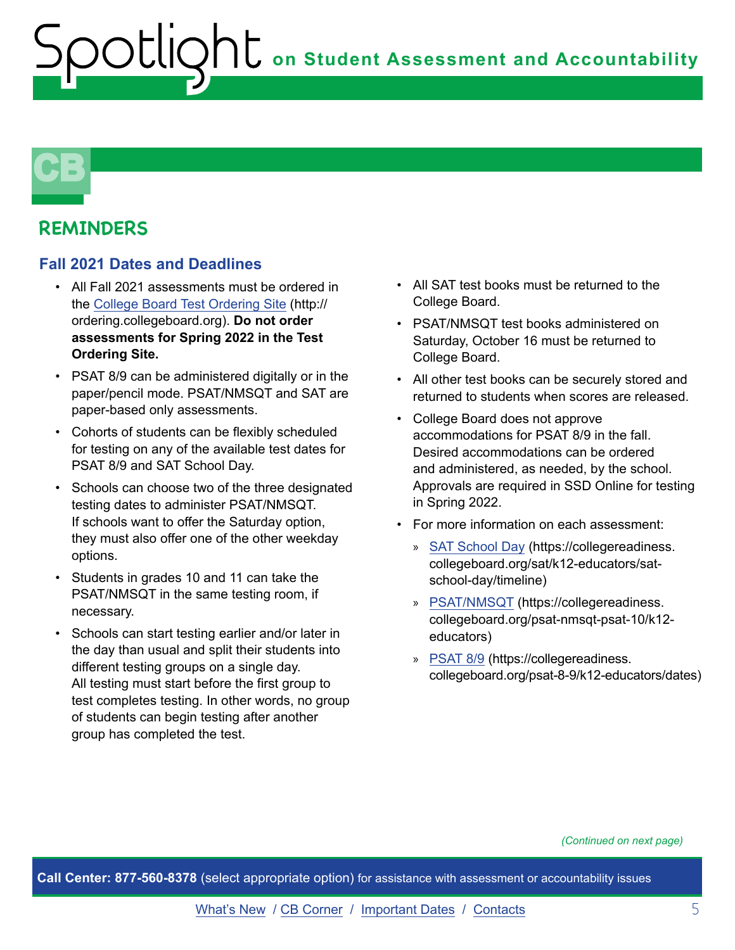## **CB**

### **REMINDERS**

### **Fall 2021 Dates and Deadlines**

- All Fall 2021 assessments must be ordered in the [College Board Test Ordering Site](http://ordering.collegeboard.org) (http:// ordering.collegeboard.org). **Do not order assessments for Spring 2022 in the Test Ordering Site.**
- PSAT 8/9 can be administered digitally or in the paper/pencil mode. PSAT/NMSQT and SAT are paper-based only assessments.
- Cohorts of students can be flexibly scheduled for testing on any of the available test dates for PSAT 8/9 and SAT School Day.
- Schools can choose two of the three designated testing dates to administer PSAT/NMSQT. If schools want to offer the Saturday option, they must also offer one of the other weekday options.
- Students in grades 10 and 11 can take the PSAT/NMSQT in the same testing room, if necessary.
- Schools can start testing earlier and/or later in the day than usual and split their students into different testing groups on a single day. All testing must start before the first group to test completes testing. In other words, no group of students can begin testing after another group has completed the test.
- All SAT test books must be returned to the College Board.
- PSAT/NMSQT test books administered on Saturday, October 16 must be returned to College Board.
- All other test books can be securely stored and returned to students when scores are released.
- College Board does not approve accommodations for PSAT 8/9 in the fall. Desired accommodations can be ordered and administered, as needed, by the school. Approvals are required in SSD Online for testing in Spring 2022.
- For more information on each assessment:
	- » [SAT School Day](https://collegereadiness.collegeboard.org/sat/k12-educators/sat-school-day/timeline) (https://collegereadiness. collegeboard.org/sat/k12-educators/satschool-day/timeline)
	- » [PSAT/NMSQT](https://collegereadiness.collegeboard.org/psat-nmsqt-psat-10/k12-educators) (https://collegereadiness. collegeboard.org/psat-nmsqt-psat-10/k12 educators)
	- » [PSAT 8/9](https://collegereadiness.collegeboard.org/psat-8-9/k12-educators/dates) (https://collegereadiness. collegeboard.org/psat-8-9/k12-educators/dates)

#### *(Continued on next page)*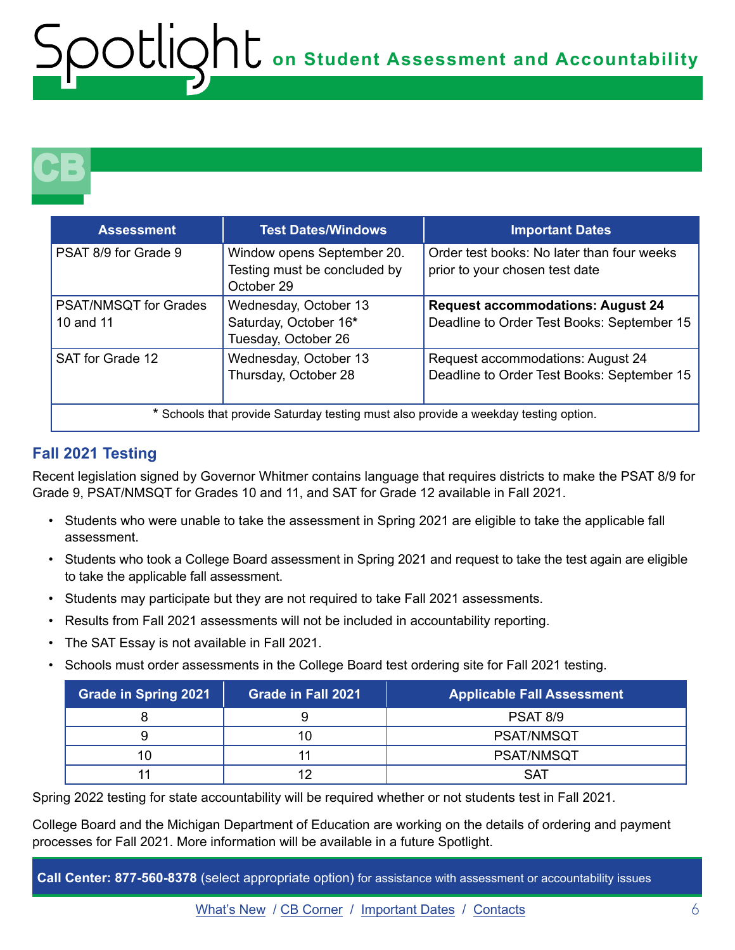## **CB**

| <b>Assessment</b>                                                                   | <b>Test Dates/Windows</b>                                                | <b>Important Dates</b>                                                                 |  |
|-------------------------------------------------------------------------------------|--------------------------------------------------------------------------|----------------------------------------------------------------------------------------|--|
| PSAT 8/9 for Grade 9                                                                | Window opens September 20.<br>Testing must be concluded by<br>October 29 | Order test books: No later than four weeks<br>prior to your chosen test date           |  |
| <b>PSAT/NMSQT for Grades</b><br>10 and 11                                           | Wednesday, October 13<br>Saturday, October 16*<br>Tuesday, October 26    | <b>Request accommodations: August 24</b><br>Deadline to Order Test Books: September 15 |  |
| SAT for Grade 12                                                                    | Wednesday, October 13<br>Thursday, October 28                            | Request accommodations: August 24<br>Deadline to Order Test Books: September 15        |  |
| * Schools that provide Saturday testing must also provide a weekday testing option. |                                                                          |                                                                                        |  |

### **Fall 2021 Testing**

Recent legislation signed by Governor Whitmer contains language that requires districts to make the PSAT 8/9 for Grade 9, PSAT/NMSQT for Grades 10 and 11, and SAT for Grade 12 available in Fall 2021.

- Students who were unable to take the assessment in Spring 2021 are eligible to take the applicable fall assessment.
- Students who took a College Board assessment in Spring 2021 and request to take the test again are eligible to take the applicable fall assessment.
- Students may participate but they are not required to take Fall 2021 assessments.
- Results from Fall 2021 assessments will not be included in accountability reporting.
- The SAT Essay is not available in Fall 2021.
- Schools must order assessments in the College Board test ordering site for Fall 2021 testing.

| <b>Grade in Spring 2021</b> | <b>Grade in Fall 2021</b> | <b>Applicable Fall Assessment</b> |
|-----------------------------|---------------------------|-----------------------------------|
|                             |                           | <b>PSAT 8/9</b>                   |
|                             |                           | <b>PSAT/NMSQT</b>                 |
| 10                          |                           | <b>PSAT/NMSQT</b>                 |
|                             |                           | <b>SAT</b>                        |

Spring 2022 testing for state accountability will be required whether or not students test in Fall 2021.

College Board and the Michigan Department of Education are working on the details of ordering and payment processes for Fall 2021. More information will be available in a future Spotlight.

**Call Center: 877-560-8378** (select appropriate option) for assistance with assessment or accountability issues

[What's New](#page-0-0) / [CB Corner](#page-3-0) / [Important Dates](#page-6-0) / [Contacts](#page-7-0) 6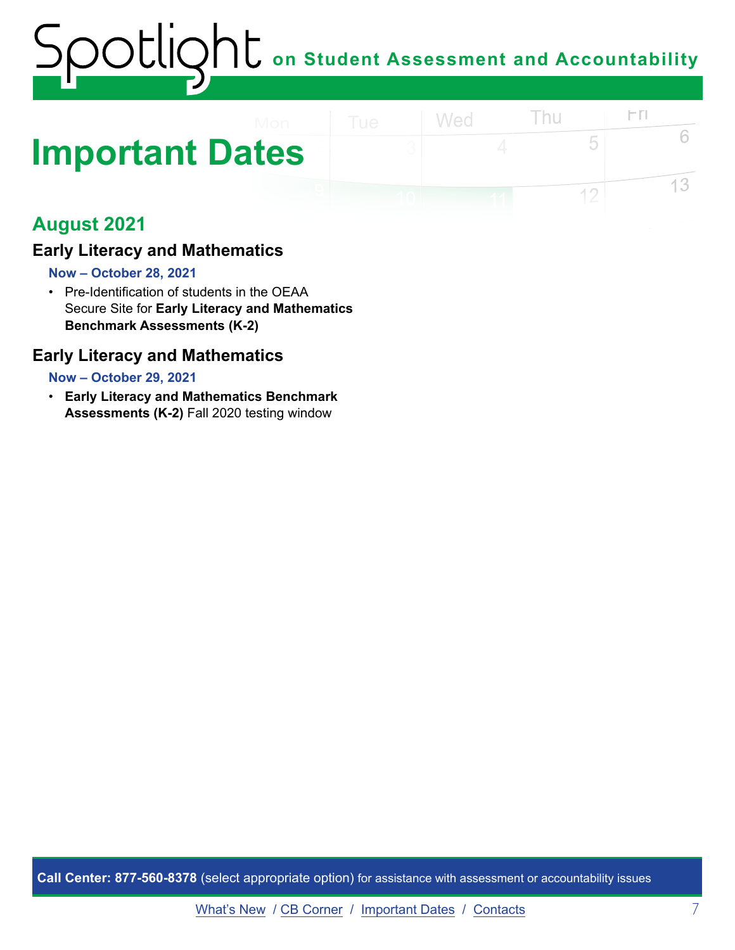### <span id="page-6-0"></span>**Important Dates**

### **August 2021**

### **Early Literacy and Mathematics**

### **Now – October 28, 2021**

• Pre-Identification of students in the OEAA Secure Site for **Early Literacy and Mathematics Benchmark Assessments (K-2)** 

### **Early Literacy and Mathematics**

### **Now – October 29, 2021**

• **Early Literacy and Mathematics Benchmark Assessments (K-2)** Fall 2020 testing window

**Call Center: 877-560-8378** (select appropriate option) for assistance with assessment or accountability issues

 $\Gamma$ 

5

 $12$ 

6

13

Thu

Wed